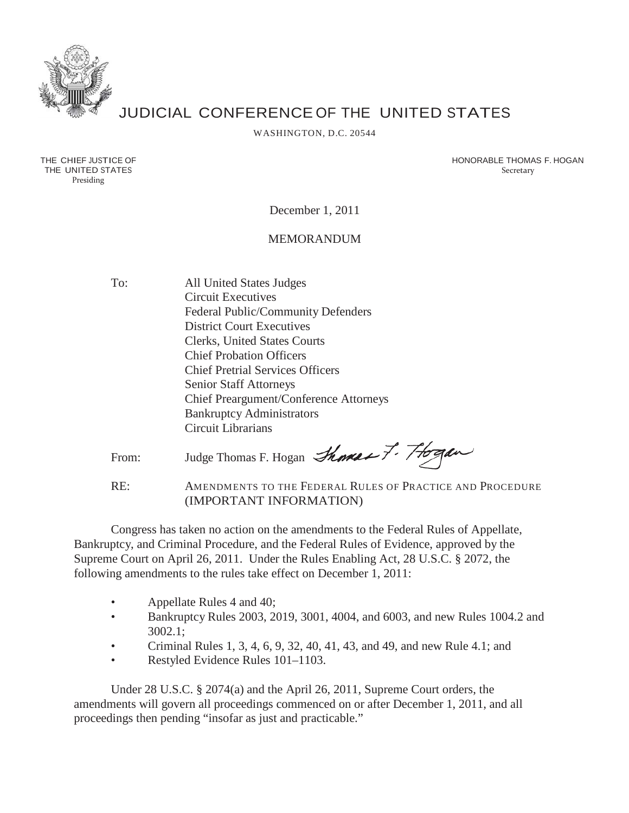

## JUDICIAL CONFERENCE OF THE UNITED STATES

WASHINGTON, D.C. 20544

THE CHIEF JUSTICE OF THE UNITED STATES Presiding

HONORABLE THOMAS F. HOGAN Secretary

December 1, 2011

## MEMORANDUM

To: All United States Judges Circuit Executives Federal Public/Community Defenders District Court Executives Clerks, United States Courts Chief Probation Officers Chief Pretrial Services Officers Senior Staff Attorneys Chief Preargument/Conference Attorneys Bankruptcy Administrators Circuit Librarians

From: Judge Thomas F. Hogan Shows 7. Togan

RE: AMENDMENTS TO THE FEDERAL RULES OF PRACTICE AND PROCEDURE (IMPORTANT INFORMATION)

Congress has taken no action on the amendments to the Federal Rules of Appellate, Bankruptcy, and Criminal Procedure, and the Federal Rules of Evidence, approved by the Supreme Court on April 26, 2011. Under the Rules Enabling Act, 28 U.S.C. § 2072, the following amendments to the rules take effect on December 1, 2011:

- Appellate Rules 4 and 40;
- Bankruptcy Rules 2003, 2019, 3001, 4004, and 6003, and new Rules 1004.2 and 3002.1;
- Criminal Rules 1, 3, 4, 6, 9, 32, 40, 41, 43, and 49, and new Rule 4.1; and
- Restyled Evidence Rules 101–1103.

Under 28 U.S.C. § 2074(a) and the April 26, 2011, Supreme Court orders, the amendments will govern all proceedings commenced on or after December 1, 2011, and all proceedings then pending "insofar as just and practicable."